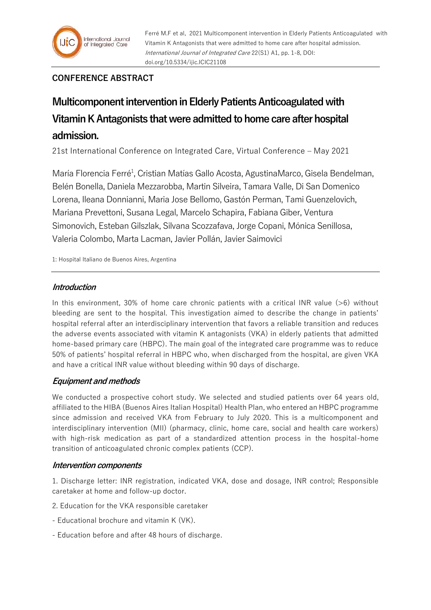

Ferré M.F et al, 2021 Multicomponent intervention in Elderly Patients Anticoagulated with Vitamin K Antagonists that were admitted to home care after hospital admission. International Journal of Integrated Care 22(S1) A1, pp. 1-8, DOI: doi.org/10.5334/ijic.ICIC21108

# **CONFERENCE ABSTRACT**

# **Multicomponent intervention in Elderly Patients Anticoagulated with Vitamin K Antagonists that were admitted to home care after hospital admission.**

21st International Conference on Integrated Care, Virtual Conference – May 2021

María Florencia Ferré<sup>1</sup>, Cristian Matías Gallo Acosta, AgustinaMarco, Gisela Bendelman, Belén Bonella, Daniela Mezzarobba, Martin Silveira, Tamara Valle, Di San Domenico Lorena, Ileana Donnianni, Maria Jose Bellomo, Gastón Perman, Tami Guenzelovich, Mariana Prevettoni, Susana Legal, Marcelo Schapira, Fabiana Giber, Ventura Simonovich, Esteban Gilszlak, Silvana Scozzafava, Jorge Copani, Mónica Senillosa, Valeria Colombo, Marta Lacman, Javier Pollán, Javier Saimovici

1: Hospital Italiano de Buenos Aires, Argentina

# **Introduction**

In this environment, 30% of home care chronic patients with a critical INR value (>6) without bleeding are sent to the hospital. This investigation aimed to describe the change in patients' hospital referral after an interdisciplinary intervention that favors a reliable transition and reduces the adverse events associated with vitamin K antagonists (VKA) in elderly patients that admitted home-based primary care (HBPC). The main goal of the integrated care programme was to reduce 50% of patients' hospital referral in HBPC who, when discharged from the hospital, are given VKA and have a critical INR value without bleeding within 90 days of discharge.

# **Equipment and methods**

We conducted a prospective cohort study. We selected and studied patients over 64 years old, affiliated to the HIBA (Buenos Aires Italian Hospital) Health Plan, who entered an HBPC programme since admission and received VKA from February to July 2020. This is a multicomponent and interdisciplinary intervention (MII) (pharmacy, clinic, home care, social and health care workers) with high-risk medication as part of a standardized attention process in the hospital-home transition of anticoagulated chronic complex patients (CCP).

## **Intervention components**

1. Discharge letter: INR registration, indicated VKA, dose and dosage, INR control; Responsible caretaker at home and follow-up doctor.

- 2. Education for the VKA responsible caretaker
- Educational brochure and vitamin K (VK).
- Education before and after 48 hours of discharge.